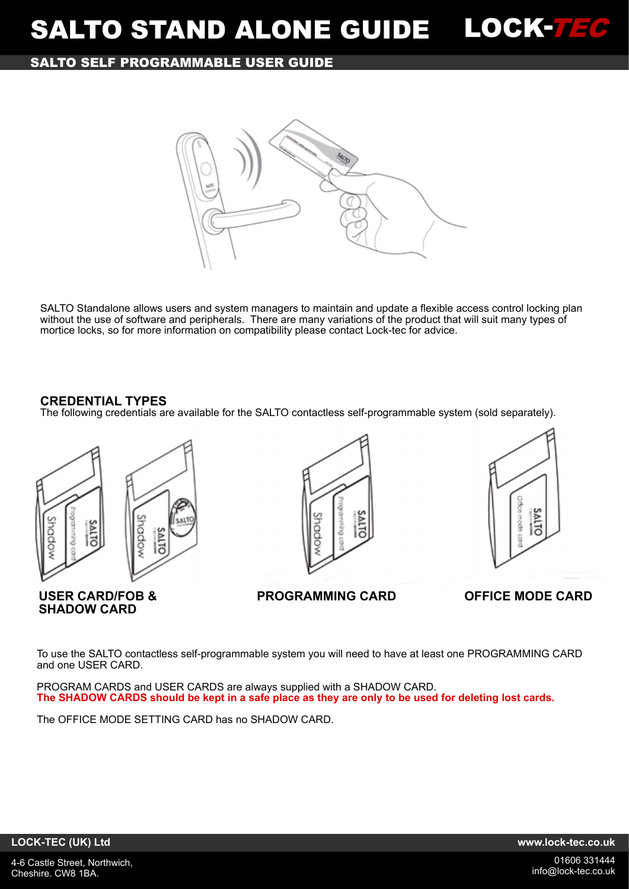# **SALTO SELF PROGRAMMABLE USER GUIDE**



SALTO Standalone allows users and system managers to maintain and update a flexible access control locking plan without the use of software and peripherals. There are many variations of the product that will suit many types of mortice locks, so for more information on compatibility please contact Lock-tec for advice.

## **CREDENTIAL TYPES**

The following credentials are available for the SALTO contactless self-programmable system (sold separately).



**SHADOW CARD**





**USER CARD/FOB & PROGRAMMING CARD OFFICE MODE CARD**

To use the SALTO contactless self-programmable system you will need to have at least one PROGRAMMING CARD and one USER CARD.

PROGRAM CARDS and USER CARDS are always supplied with a SHADOW CARD. **The SHADOW CARDS should be kept in a safe place as they are only to be used for deleting lost cards.**

The OFFICE MODE SETTING CARD has no SHADOW CARD.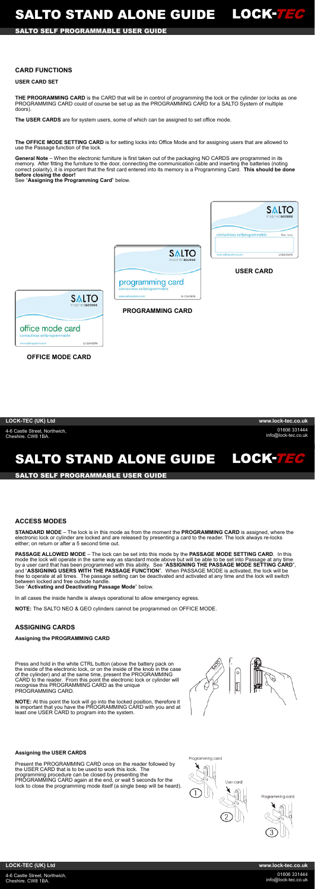4-6 Castle Street, Northwich, Cheshire. CW8 1BA.

01606 331444 info@lock-tec.co.uk

**LOCK-TEC (UK) Ltd www.lock-tec.co.uk**

# **SALTO SELF PROGRAMMABLE USER GUIDE**

### LOCK-736 **SALTO STAND ALONE GUIDE**

012345678

4-6 Castle Street, Northwich, Cheshire. CW8 1BA.

01606 331444 info@lock-tec.co.uk

### **LOCK-TEC (UK) Ltd www.lock-tec.co.uk**

# **CARD FUNCTIONS**

#### **USER CARD SET**

**THE PROGRAMMING CARD** is the CARD that will be in control of programming the lock or the cylinder (or locks as one PROGRAMMING CARD could of course be set up as the PROGRAMMING CARD for a SALTO System of multiple doors).

**The USER CARDS** are for system users, some of which can be assigned to set office mode.

**The OFFICE MODE SETTING CARD** is for setting locks into Office Mode and for assigning users that are allowed to use the Passage function of the lock.

**PASSAGE ALLOWED MODE** – The lock can be set into this mode by the **PASSAGE MODE SETTING CARD**. In this mode the lock will operate in the same way as standard mode above but will be able to be set into Passage at any time by a user card that has been programmed with this ability. See "**ASSIGNING THE PASSAGE MODE SETTING CARD**", and "**ASSIGNING USERS WITH THE PASSAGE FUNCTION**". When PASSAGE MODE is activated, the lock will be free to operate at all times. The passage setting can be deactivated and activated at any time and the lock will switch between locked and free outside handle.

**General Note** – When the electronic furniture is first taken out of the packaging NO CARDS are programmed in its memory. After fitting the furniture to the door, connecting the communication cable and inserting the batteries (noting correct polarity), it is important that the first card entered into its memory is a Programming Card. **This should be done before closing the door!**

See "**Assigning the Programming Card**" below.



**OFFICE MODE CARD**

# **ACCESS MODES**

**STANDARD MODE** – The lock is in this mode as from the moment the **PROGRAMMING CARD** is assigned, where the electronic lock or cylinder are locked and are released by presenting a card to the reader. The lock always re-locks either; on return or after a 5 second time out.

See "**Activating and Deactivating Passage Mode**" below.

In all cases the inside handle is always operational to allow emergency egress.

**NOTE:** The SALTO NEO & GEO cylinders cannot be programmed on OFFICE MODE.

# **ASSIGNING CARDS**

**Assigning the PROGRAMMING CARD**

Press and hold in the white CTRL button (above the battery pack on the inside of the electronic lock, or on the inside of the knob in the case of the cylinder) and at the same time, present the PROGRAMMING CARD to the reader. From this point the electronic lock or cylinder will recognise this PROGRAMMING CARD as the unique PROGRAMMING CARD.

**NOTE:** At this point the lock will go into the locked position, therefore it is important that you have the PROGRAMMING CARD with you and at least one USER CARD to program into the system.



#### **Assigning the USER CARDS**

Present the PROGRAMMING CARD once on the reader followed by the USER CARD that is to be used to work this lock. The programming procedure can be closed by presenting the PROGRAMMING CARD again at the end, or wait 5 seconds for the lock to close the programming mode itself (a single beep will be heard).



Programming card

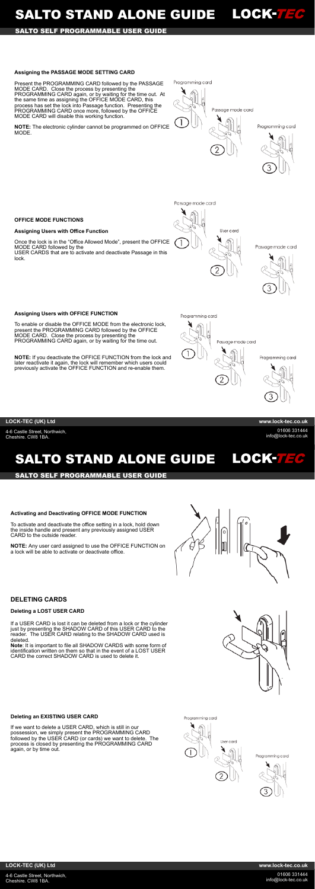# SALTO STAND ALONE GUIDE LOCK-TEC

# **SALTO SELF PROGRAMMABLE USER GUIDE**

4-6 Castle Street, Northwich, Cheshire. CW8 1BA.

01606 331444 info@lock-tec.co.uk

**LOCK-TEC (UK) Ltd www.lock-tec.co.uk**

### **Assigning the PASSAGE MODE SETTING CARD**

Present the PROGRAMMING CARD followed by the PASSAGE MODE CARD. Close the process by presenting the PROGRAMMING CARD again, or by waiting for the time out. At the same time as assigning the OFFICE MODE CARD, this process has set the lock into Passage function. Presenting the PROGRAMMING CARD once more, followed by the OFFICE MODE CARD will disable this working function.

**NOTE:** The electronic cylinder cannot be programmed on OFFICE MODE.

Passage mode card



Programming card



Passage mode card

Programming card

#### **OFFICE MODE FUNCTIONS**

#### **Assigning Users with Office Function**

# **SALTO STAND ALONE GUIDE** LOCK-7EC

To activate and deactivate the office setting in a lock, hold down the inside handle and present any previously assigned USER CARD to the outside reader.

Once the lock is in the "Office Allowed Mode", present the OFFICE MODE CARD followed by the USER CARDS that are to activate and deactivate Passage in this lock.

User card

Passage mode card



#### **Assigning Users with OFFICE FUNCTION**

To enable or disable the OFFICE MODE from the electronic lock, present the PROGRAMMING CARD followed by the OFFICE MODE CARD. Close the process by presenting the PROGRAMMING CARD again, or by waiting for the time out.

**NOTE:** If you deactivate the OFFICE FUNCTION from the lock and later reactivate it again, the lock will remember which users could previously activate the OFFICE FUNCTION and re-enable them.

Programming card



Programming card



4-6 Castle Street, Northwich, Cheshire. CW8 1BA.

01606 331444 info@lock-tec.co.uk

### **LOCK-TEC (UK) Ltd www.lock-tec.co.uk**

#### **SALTO SELF PROGRAMMABLE USER GUIDE**

### **Activating and Deactivating OFFICE MODE FUNCTION**

**NOTE:** Any user card assigned to use the OFFICE FUNCTION on a lock will be able to activate or deactivate office.



## **DELETING CARDS**

#### **Deleting a LOST USER CARD**

If a USER CARD is lost it can be deleted from a lock or the cylinder just by presenting the SHADOW CARD of this USER CARD to the reader. The USER CARD relating to the SHADOW CARD used is deleted.

**Note**: It is important to file all SHADOW CARDS with some form of identification written on them so that in the event of a LOST USER CARD the correct SHADOW CARD is used to delete it.



#### **Deleting an EXISTING USER CARD**

If we want to delete a USER CARD, which is still in our possession, we simply present the PROGRAMMING CARD followed by the USER CARD (or cards) we want to delete. The process is closed by presenting the PROGRAMMING CARD again, or by time out.

Programming card



Programming card

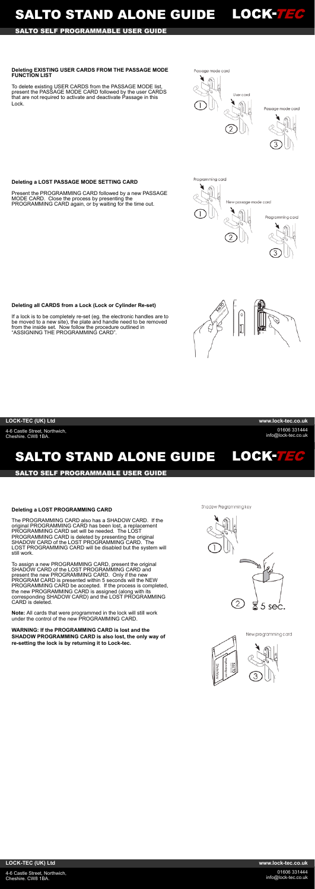4-6 Castle Street, Northwich, Cheshire. CW8 1BA.

01606 331444 info@lock-tec.co.uk

705

LOCK-75

# LOCK-726 **SALTO STAND ALONE GUIDE**

**LOCK-TEC (UK) Ltd www.lock-tec.co.uk**

# **SALTO SELF PROGRAMMABLE USER GUIDE**

4-6 Castle Street, Northwich, Cheshire. CW8 1BA.

01606 331444 info@lock-tec.co.uk

**LOCK-TEC (UK) Ltd www.lock-tec.co.uk**

# **SALTO STAND ALONE GUIDE**

**SALTO SELF PROGRAMMABLE USER GUIDE**



Passage mode card







#### **Deleting EXISTING USER CARDS FROM THE PASSAGE MODE FUNCTION LIST**

To delete existing USER CARDS from the PASSAGE MODE list, present the PASSAGE MODE CARD followed by the user CARDS that are not required to activate and deactivate Passage in this Lock.

**Deleting a LOST PASSAGE MODE SETTING CARD**

Present the PROGRAMMING CARD followed by a new PASSAGE

#### MODE CARD. Close the process by presenting the

PROGRAMMING CARD again, or by waiting for the time out.

**Deleting all CARDS from a Lock (Lock or Cylinder Re-set)**

**Note:** All cards that were programmed in the lock will still work under the control of the new PROGRAMMING CARD.

If a lock is to be completely re-set (eg. the electronic handles are to be moved to a new site), the plate and handle need to be removed from the inside set. Now follow the procedure outlined in "ASSIGNING THE PROGRAMMING CARD".

#### **Deleting a LOST PROGRAMMING CARD**

The PROGRAMMING CARD also has a SHADOW CARD. If the original PROGRAMMING CARD has been lost, a replacement PROGRAMMING CARD set will be needed. The LOST PROGRAMMING CARD is deleted by presenting the original SHADOW CARD of the LOST PROGRAMMING CARD. The LOST PROGRAMMING CARD will be disabled but the system will still work.

To assign a new PROGRAMMING CARD, present the original SHADOW CARD of the LOST PROGRAMMING CARD and present the new PROGRAMMING CARD. Only if the new PROGRAM CARD is presented within 5 seconds will the NEW PROGRAMMING CARD be accepted. If the process is completed, the new PROGRAMMING CARD is assigned (along with its corresponding SHADOW CARD) and the LOST PROGRAMMING CARD is deleted.

**WARNING: If the PROGRAMMING CARD is lost and the SHADOW PROGRAMMING CARD is also lost, the only way of re-setting the lock is by returning it to Lock-tec.**

Shadow Programming key





New programming card